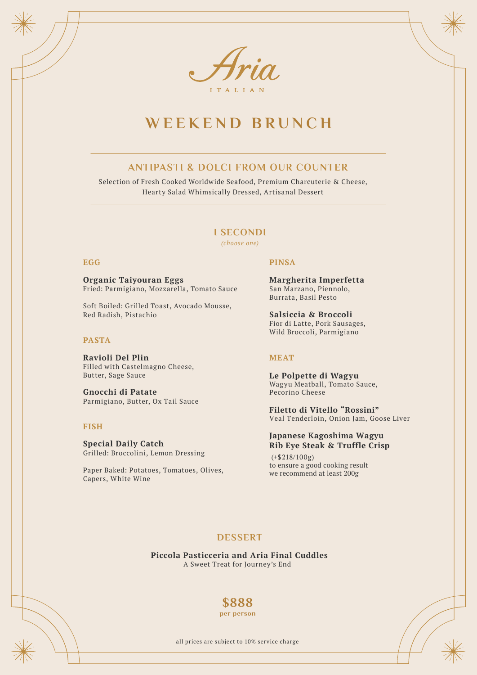

# **WEEKEND BRUNCH**

## **ANTIPASTI & DOLCI FROM OUR COUNTER**

Selection of Fresh Cooked Worldwide Seafood, Premium Charcuterie & Cheese, Hearty Salad Whimsically Dressed, Artisanal Dessert

## **I SECONDI**

*(choose one)*

#### **EGG**

**Organic Taiyouran Eggs** Fried: Parmigiano, Mozzarella, Tomato Sauce

Soft Boiled: Grilled Toast, Avocado Mousse, Red Radish, Pistachio

### **PASTA**

**Ravioli Del Plin** Filled with Castelmagno Cheese, Butter, Sage Sauce

**Gnocchi di Patate** Parmigiano, Butter, Ox Tail Sauce

#### **FISH**

**Special Daily Catch** Grilled: Broccolini, Lemon Dressing

Paper Baked: Potatoes, Tomatoes, Olives, Capers, White Wine

#### **PINSA**

**Margherita Imperfetta**  San Marzano, Piennolo, Burrata, Basil Pesto

**Salsiccia & Broccoli** Fior di Latte, Pork Sausages, Wild Broccoli, Parmigiano

#### **MEAT**

**Le Polpette di Wagyu** Wagyu Meatball, Tomato Sauce, Pecorino Cheese

**Filetto di Vitello "Rossini"** Veal Tenderloin, Onion Jam, Goose Liver

#### **Japanese Kagoshima Wagyu Rib Eye Steak & Truffle Crisp**

(+\$218/100g) to ensure a good cooking result we recommend at least 200g

### **DESSERT**

**Piccola Pasticceria and Aria Final Cuddles** A Sweet Treat for Journey's End

## **\$888**

**per person**

all prices are subject to 10% service charge